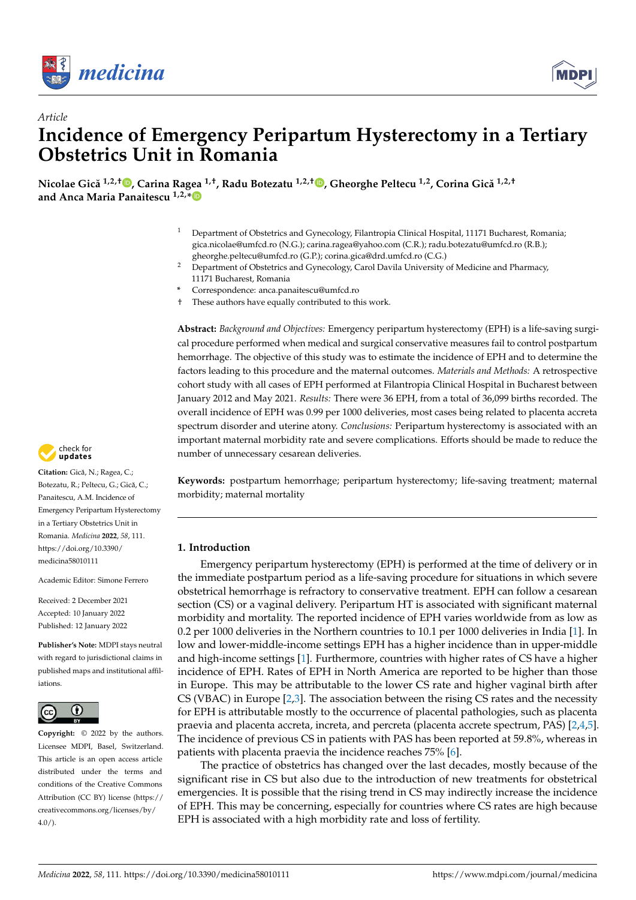



# *Article* **Incidence of Emergency Peripartum Hysterectomy in a Tertiary Obstetrics Unit in Romania**

**Nicolae Gică 1,2,[†](https://orcid.org/0000-0002-8425-6307) , Carina Ragea 1,†, Radu Botezatu 1,2,† [,](https://orcid.org/0000-0001-9400-8991) Gheorghe Peltecu 1,2, Corina Gică 1,2,† and Anca Maria Panaitescu 1,2,[\\*](https://orcid.org/0000-0002-9213-6735)**

- <sup>1</sup> Department of Obstetrics and Gynecology, Filantropia Clinical Hospital, 11171 Bucharest, Romania; gica.nicolae@umfcd.ro (N.G.); carina.ragea@yahoo.com (C.R.); radu.botezatu@umfcd.ro (R.B.); gheorghe.peltecu@umfcd.ro (G.P.); corina.gica@drd.umfcd.ro (C.G.)
- <sup>2</sup> Department of Obstetrics and Gynecology, Carol Davila University of Medicine and Pharmacy, 11171 Bucharest, Romania
- **\*** Correspondence: anca.panaitescu@umfcd.ro
- † These authors have equally contributed to this work.

**Abstract:** *Background and Objectives:* Emergency peripartum hysterectomy (EPH) is a life-saving surgical procedure performed when medical and surgical conservative measures fail to control postpartum hemorrhage. The objective of this study was to estimate the incidence of EPH and to determine the factors leading to this procedure and the maternal outcomes. *Materials and Methods:* A retrospective cohort study with all cases of EPH performed at Filantropia Clinical Hospital in Bucharest between January 2012 and May 2021. *Results:* There were 36 EPH, from a total of 36,099 births recorded. The overall incidence of EPH was 0.99 per 1000 deliveries, most cases being related to placenta accreta spectrum disorder and uterine atony. *Conclusions:* Peripartum hysterectomy is associated with an important maternal morbidity rate and severe complications. Efforts should be made to reduce the number of unnecessary cesarean deliveries.

**Keywords:** postpartum hemorrhage; peripartum hysterectomy; life-saving treatment; maternal morbidity; maternal mortality

### **1. Introduction**

Emergency peripartum hysterectomy (EPH) is performed at the time of delivery or in the immediate postpartum period as a life-saving procedure for situations in which severe obstetrical hemorrhage is refractory to conservative treatment. EPH can follow a cesarean section (CS) or a vaginal delivery. Peripartum HT is associated with significant maternal morbidity and mortality. The reported incidence of EPH varies worldwide from as low as 0.2 per 1000 deliveries in the Northern countries to 10.1 per 1000 deliveries in India [\[1\]](#page-6-0). In low and lower-middle-income settings EPH has a higher incidence than in upper-middle and high-income settings [\[1\]](#page-6-0). Furthermore, countries with higher rates of CS have a higher incidence of EPH. Rates of EPH in North America are reported to be higher than those in Europe. This may be attributable to the lower CS rate and higher vaginal birth after CS (VBAC) in Europe [\[2,](#page-6-1)[3\]](#page-6-2). The association between the rising CS rates and the necessity for EPH is attributable mostly to the occurrence of placental pathologies, such as placenta praevia and placenta accreta, increta, and percreta (placenta accrete spectrum, PAS) [\[2](#page-6-1)[,4](#page-6-3)[,5\]](#page-6-4). The incidence of previous CS in patients with PAS has been reported at 59.8%, whereas in patients with placenta praevia the incidence reaches 75% [\[6\]](#page-6-5).

The practice of obstetrics has changed over the last decades, mostly because of the significant rise in CS but also due to the introduction of new treatments for obstetrical emergencies. It is possible that the rising trend in CS may indirectly increase the incidence of EPH. This may be concerning, especially for countries where CS rates are high because EPH is associated with a high morbidity rate and loss of fertility.



Citation: Gică, N.; Ragea, C.; Botezatu, R.; Peltecu, G.; Gică, C.; Panaitescu, A.M. Incidence of Emergency Peripartum Hysterectomy in a Tertiary Obstetrics Unit in Romania. *Medicina* **2022**, *58*, 111. [https://doi.org/10.3390/](https://doi.org/10.3390/medicina58010111) [medicina58010111](https://doi.org/10.3390/medicina58010111) **Example 12.1**<br>
Article<br> **CODIStecting CODISTIC CONVENSION**<br>
Article<br> **CODISTENTICS Unit in**<br>
Nicolae Gică<sup>1,2,1</sup><sup>(10</sup>). Carina Ragea<br>
and Anca Maria Panaitescu<sup>1,2,9</sup>(0)<br>
2 Dependence of the state of the state of the<br>
1 a

Academic Editor: Simone Ferrero

Received: 2 December 2021 Accepted: 10 January 2022 Published: 12 January 2022

**Publisher's Note:** MDPI stays neutral with regard to jurisdictional claims in published maps and institutional affiliations.



**Copyright:** © 2022 by the authors. Licensee MDPI, Basel, Switzerland. This article is an open access article distributed under the terms and conditions of the Creative Commons Attribution (CC BY) license [\(https://](https://creativecommons.org/licenses/by/4.0/) [creativecommons.org/licenses/by/](https://creativecommons.org/licenses/by/4.0/)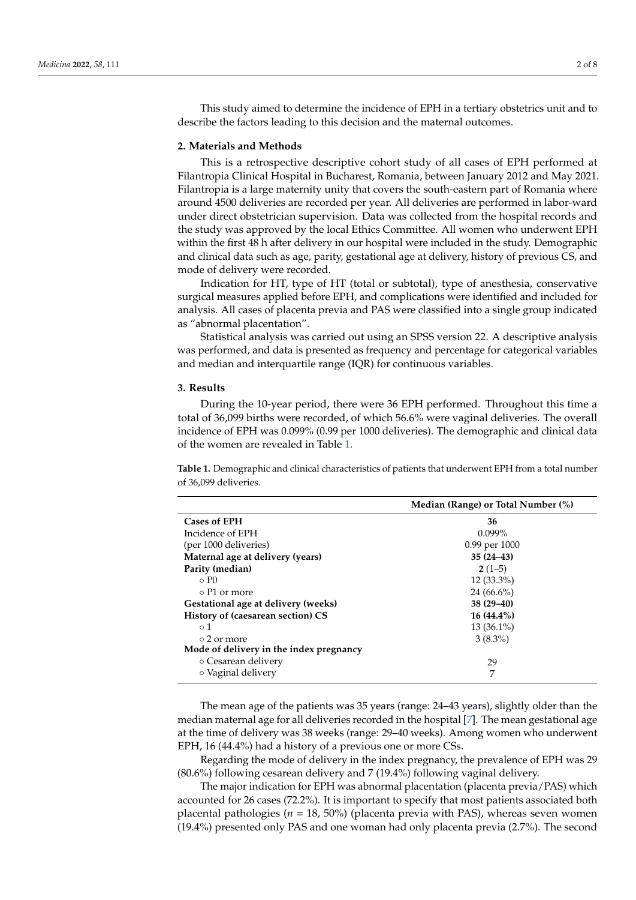This study aimed to determine the incidence of EPH in a tertiary obstetrics unit and to describe the factors leading to this decision and the maternal outcomes.

#### **2. Materials and Methods**

This is a retrospective descriptive cohort study of all cases of EPH performed at Filantropia Clinical Hospital in Bucharest, Romania, between January 2012 and May 2021. Filantropia is a large maternity unity that covers the south-eastern part of Romania where around 4500 deliveries are recorded per year. All deliveries are performed in labor-ward under direct obstetrician supervision. Data was collected from the hospital records and the study was approved by the local Ethics Committee. All women who underwent EPH within the first 48 h after delivery in our hospital were included in the study. Demographic and clinical data such as age, parity, gestational age at delivery, history of previous CS, and mode of delivery were recorded.

Indication for HT, type of HT (total or subtotal), type of anesthesia, conservative surgical measures applied before EPH, and complications were identified and included for analysis. All cases of placenta previa and PAS were classified into a single group indicated as "abnormal placentation".

Statistical analysis was carried out using an SPSS version 22. A descriptive analysis was performed, and data is presented as frequency and percentage for categorical variables and median and interquartile range (IQR) for continuous variables.

#### **3. Results**

During the 10-year period, there were 36 EPH performed. Throughout this time a total of 36,099 births were recorded, of which 56.6% were vaginal deliveries. The overall incidence of EPH was 0.099% (0.99 per 1000 deliveries). The demographic and clinical data of the women are revealed in Table [1.](#page-1-0)

<span id="page-1-0"></span>**Table 1.** Demographic and clinical characteristics of patients that underwent EPH from a total number of 36,099 deliveries.

|                                         | Median (Range) or Total Number (%) |
|-----------------------------------------|------------------------------------|
| <b>Cases of EPH</b>                     | 36                                 |
| Incidence of EPH                        | $0.099\%$                          |
| (per 1000 deliveries)                   | 0.99 per 1000                      |
| Maternal age at delivery (years)        | $35(24-43)$                        |
| Parity (median)                         | $2(1-5)$                           |
| $\circ$ P $\theta$                      | $12(33.3\%)$                       |
| ⊙ P1 or more                            | $24(66.6\%)$                       |
| Gestational age at delivery (weeks)     | $38(29 - 40)$                      |
| History of (caesarean section) CS       | $16(44.4\%)$                       |
| $\circ$ 1                               | $13(36.1\%)$                       |
| ○ 2 or more                             | $3(8.3\%)$                         |
| Mode of delivery in the index pregnancy |                                    |
| ○ Cesarean delivery                     | 29                                 |
| ○ Vaginal delivery                      | 7                                  |

The mean age of the patients was 35 years (range: 24–43 years), slightly older than the median maternal age for all deliveries recorded in the hospital [\[7\]](#page-6-6). The mean gestational age at the time of delivery was 38 weeks (range: 29–40 weeks). Among women who underwent EPH, 16 (44.4%) had a history of a previous one or more CSs.

Regarding the mode of delivery in the index pregnancy, the prevalence of EPH was 29 (80.6%) following cesarean delivery and 7 (19.4%) following vaginal delivery.

The major indication for EPH was abnormal placentation (placenta previa/PAS) which accounted for 26 cases (72.2%). It is important to specify that most patients associated both placental pathologies (*n* = 18, 50%) (placenta previa with PAS), whereas seven women (19.4%) presented only PAS and one woman had only placenta previa (2.7%). The second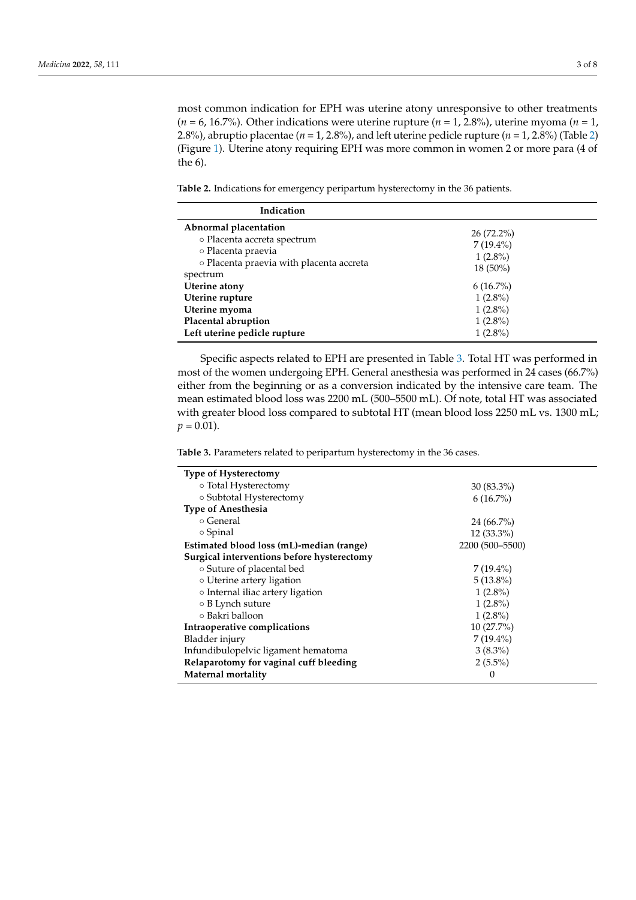most common indication for EPH was uterine atony unresponsive to other treatments (*n* = 6, 16.7%). Other indications were uterine rupture (*n* = 1, 2.8%), uterine myoma (*n* = 1, 2.8%), abruptio placentae ( $n = 1, 2.8$ %), and left uterine pedicle rupture ( $n = 1, 2.8$ %) (Table [2\)](#page-2-0) (Figure [1\)](#page-3-0). Uterine atony requiring EPH was more common in women 2 or more para (4 of the 6).

<span id="page-2-0"></span>**Table 2.** Indications for emergency peripartum hysterectomy in the 36 patients.

| Indication                               |              |
|------------------------------------------|--------------|
| Abnormal placentation                    | $26(72.2\%)$ |
| o Placenta accreta spectrum              | $7(19.4\%)$  |
| o Placenta praevia                       | $1(2.8\%)$   |
| o Placenta praevia with placenta accreta | $18(50\%)$   |
| spectrum<br>Uterine atony                | $6(16.7\%)$  |
| Uterine rupture                          | $1(2.8\%)$   |
| Uterine myoma                            | $1(2.8\%)$   |
| Placental abruption                      | $1(2.8\%)$   |
| Left uterine pedicle rupture             | $1(2.8\%)$   |

Specific aspects related to EPH are presented in Table [3.](#page-2-1) Total HT was performed in most of the women undergoing EPH. General anesthesia was performed in 24 cases (66.7%) either from the beginning or as a conversion indicated by the intensive care team. The mean estimated blood loss was 2200 mL (500–5500 mL). Of note, total HT was associated with greater blood loss compared to subtotal HT (mean blood loss 2250 mL vs. 1300 mL;  $p = 0.01$ ).

<span id="page-2-1"></span>**Table 3.** Parameters related to peripartum hysterectomy in the 36 cases.

| <b>Type of Hysterectomy</b>                |                 |
|--------------------------------------------|-----------------|
| ○ Total Hysterectomy                       | $30(83.3\%)$    |
| o Subtotal Hysterectomy                    | $6(16.7\%)$     |
| <b>Type of Anesthesia</b>                  |                 |
| ⊙ General                                  | $24(66.7\%)$    |
| ○ Spinal                                   | $12(33.3\%)$    |
| Estimated blood loss (mL)-median (range)   | 2200 (500-5500) |
| Surgical interventions before hysterectomy |                 |
| ○ Suture of placental bed                  | $7(19.4\%)$     |
| o Uterine artery ligation                  | $5(13.8\%)$     |
| ○ Internal iliac artery ligation           | $1(2.8\%)$      |
| $\circ$ B Lynch suture                     | $1(2.8\%)$      |
| ⊙ Bakri balloon                            | $1(2.8\%)$      |
| Intraoperative complications               | $10(27.7\%)$    |
| Bladder injury                             | $7(19.4\%)$     |
| Infundibulopelvic ligament hematoma        | $3(8.3\%)$      |
| Relaparotomy for vaginal cuff bleeding     | $2(5.5\%)$      |
| Maternal mortality                         | 0               |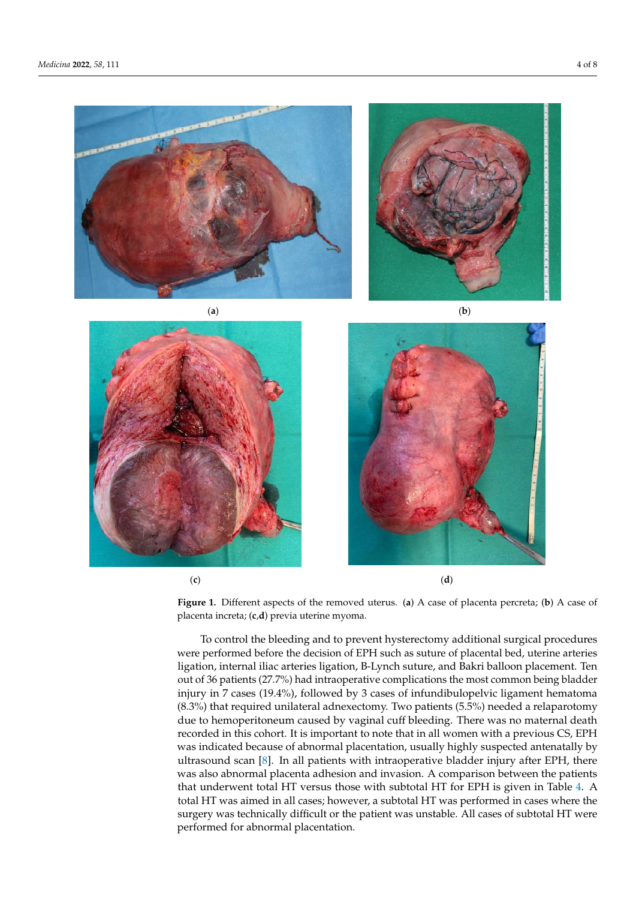









(**c**) (**d**)

**Figure 1.** Different aspects of the removed uterus. (**a**) A case of placenta percreta; (**b**) A case of pla-**Figure 1.** Different aspects of the removed uterus. (**a**) A case of placenta percreta; (**b**) A case of placenta increta; (**c**,**d**) previa uterine myoma.

<span id="page-3-0"></span>**Left uterine pedicle rupture** 1 (2.8%)

 $\mathbf{S}$  as pectral to EPH are presented in Table 3. Total HT was performed in Table 3. Total HT was performed in Table 3. Total HT was performed in Table 3. Total HT was performed in Table 3. Total HT was performed in Ta To control the bleeding and to prevent hysterectomy additional surgical procedures were performed before the decision of EPH such as suture of placental bed, uterine arteries ligation, internal iliac arteries ligation, B-Lynch suture, and Bakri balloon placement. Ten out of 36 patients (27.7%) had intraoperative complications the most common being bladder injury in 7 cases (19.4%), followed by 3 cases of infundibulopelvic ligament hematoma due to hemoperitoneum caused by vaginal cuff bleeding. There was no maternal death recorded in this cohort. It is important to note that in all women with a previous CS, EPH was indicated because of abnormal placentation, usually highly suspected antenatally by ultrasound scan [\[8\]](#page-6-7). In all patients with intraoperative bladder injury after EPH, there was also abnormal placenta adhesion and invasion. A comparison between the patients that underwent total HT versus those with subtotal HT for EPH is given in Table [4.](#page-4-0) A total HT was aimed in all cases; however, a subtotal HT was performed in cases where the surgery was technically difficult or the patient was unstable. All cases of subtotal HT were performed for abnormal placentation. (8.3%) that required unilateral adnexectomy. Two patients (5.5%) needed a relaparotomy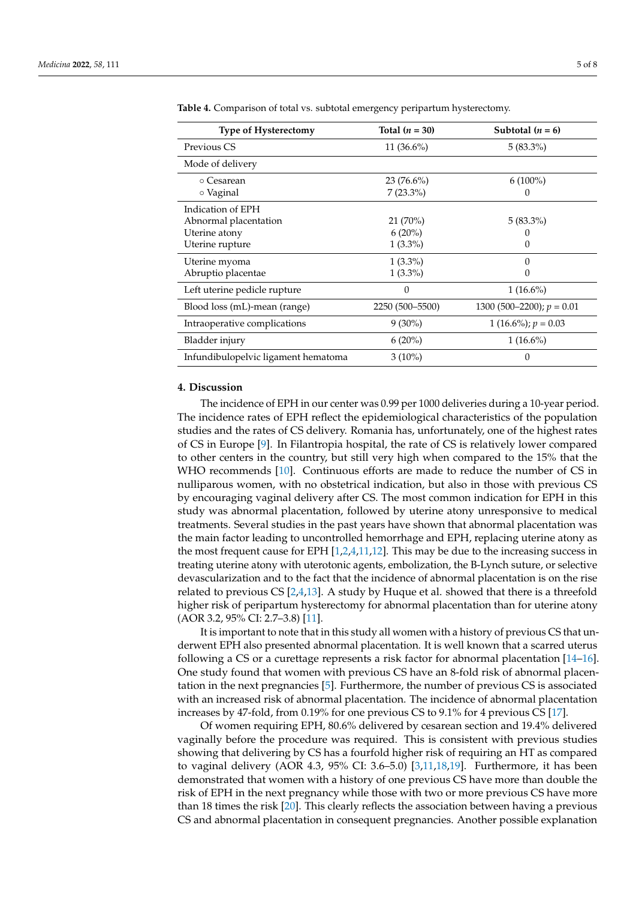| <b>Type of Hysterectomy</b>         | Total $(n = 30)$ | Subtotal $(n = 6)$          |
|-------------------------------------|------------------|-----------------------------|
| Previous CS                         | $11(36.6\%)$     | $5(83.3\%)$                 |
| Mode of delivery                    |                  |                             |
| ⊙ Cesarean                          | $23(76.6\%)$     | $6(100\%)$                  |
| ○ Vaginal                           | $7(23.3\%)$      | $\mathbf{0}$                |
| Indication of EPH                   |                  |                             |
| Abnormal placentation               | $21(70\%)$       | $5(83.3\%)$                 |
| Uterine atony                       | $6(20\%)$        |                             |
| Uterine rupture                     | $1(3.3\%)$       |                             |
| Uterine myoma                       | $1(3.3\%)$       | 0                           |
| Abruptio placentae                  | $1(3.3\%)$       |                             |
| Left uterine pedicle rupture        | 0                | $1(16.6\%)$                 |
| Blood loss (mL)-mean (range)        | 2250 (500-5500)  | 1300 (500–2200); $p = 0.01$ |
| Intraoperative complications        | $9(30\%)$        | 1 (16.6%); $p = 0.03$       |
| Bladder injury                      | $6(20\%)$        | $1(16.6\%)$                 |
| Infundibulopelvic ligament hematoma | $3(10\%)$        | 0                           |

<span id="page-4-0"></span>**Table 4.** Comparison of total vs. subtotal emergency peripartum hysterectomy.

### **4. Discussion**

The incidence of EPH in our center was 0.99 per 1000 deliveries during a 10-year period. The incidence rates of EPH reflect the epidemiological characteristics of the population studies and the rates of CS delivery. Romania has, unfortunately, one of the highest rates of CS in Europe [\[9\]](#page-6-8). In Filantropia hospital, the rate of CS is relatively lower compared to other centers in the country, but still very high when compared to the 15% that the WHO recommends [\[10\]](#page-6-9). Continuous efforts are made to reduce the number of CS in nulliparous women, with no obstetrical indication, but also in those with previous CS by encouraging vaginal delivery after CS. The most common indication for EPH in this study was abnormal placentation, followed by uterine atony unresponsive to medical treatments. Several studies in the past years have shown that abnormal placentation was the main factor leading to uncontrolled hemorrhage and EPH, replacing uterine atony as the most frequent cause for EPH  $[1,2,4,11,12]$  $[1,2,4,11,12]$  $[1,2,4,11,12]$  $[1,2,4,11,12]$  $[1,2,4,11,12]$ . This may be due to the increasing success in treating uterine atony with uterotonic agents, embolization, the B-Lynch suture, or selective devascularization and to the fact that the incidence of abnormal placentation is on the rise related to previous CS [\[2,](#page-6-1)[4,](#page-6-3)[13\]](#page-7-1). A study by Huque et al. showed that there is a threefold higher risk of peripartum hysterectomy for abnormal placentation than for uterine atony (AOR 3.2, 95% CI: 2.7–3.8) [\[11\]](#page-6-10).

It is important to note that in this study all women with a history of previous CS that underwent EPH also presented abnormal placentation. It is well known that a scarred uterus following a CS or a curettage represents a risk factor for abnormal placentation [\[14](#page-7-2)[–16\]](#page-7-3). One study found that women with previous CS have an 8-fold risk of abnormal placentation in the next pregnancies [\[5\]](#page-6-4). Furthermore, the number of previous CS is associated with an increased risk of abnormal placentation. The incidence of abnormal placentation increases by 47-fold, from 0.19% for one previous CS to 9.1% for 4 previous CS [\[17\]](#page-7-4).

Of women requiring EPH, 80.6% delivered by cesarean section and 19.4% delivered vaginally before the procedure was required. This is consistent with previous studies showing that delivering by CS has a fourfold higher risk of requiring an HT as compared to vaginal delivery (AOR 4.3, 95% CI: 3.6–5.0) [\[3](#page-6-2)[,11,](#page-6-10)[18](#page-7-5)[,19\]](#page-7-6). Furthermore, it has been demonstrated that women with a history of one previous CS have more than double the risk of EPH in the next pregnancy while those with two or more previous CS have more than 18 times the risk [\[20\]](#page-7-7). This clearly reflects the association between having a previous CS and abnormal placentation in consequent pregnancies. Another possible explanation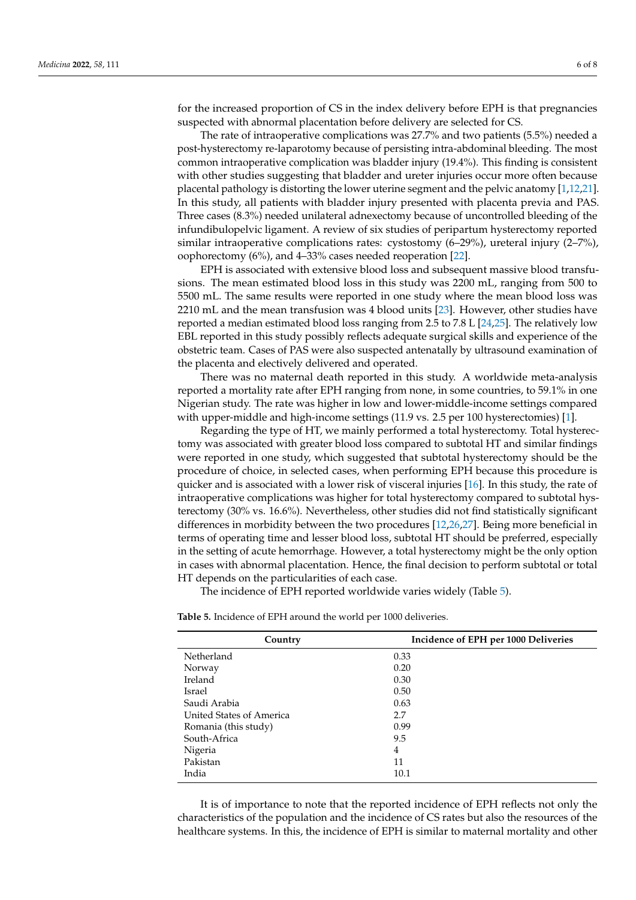for the increased proportion of CS in the index delivery before EPH is that pregnancies suspected with abnormal placentation before delivery are selected for CS.

The rate of intraoperative complications was 27.7% and two patients (5.5%) needed a post-hysterectomy re-laparotomy because of persisting intra-abdominal bleeding. The most common intraoperative complication was bladder injury (19.4%). This finding is consistent with other studies suggesting that bladder and ureter injuries occur more often because placental pathology is distorting the lower uterine segment and the pelvic anatomy [\[1,](#page-6-0)[12](#page-7-0)[,21\]](#page-7-8). In this study, all patients with bladder injury presented with placenta previa and PAS. Three cases (8.3%) needed unilateral adnexectomy because of uncontrolled bleeding of the infundibulopelvic ligament. A review of six studies of peripartum hysterectomy reported similar intraoperative complications rates: cystostomy  $(6-29%)$ , ureteral injury  $(2-7%)$ , oophorectomy (6%), and 4–33% cases needed reoperation [\[22\]](#page-7-9).

EPH is associated with extensive blood loss and subsequent massive blood transfusions. The mean estimated blood loss in this study was 2200 mL, ranging from 500 to 5500 mL. The same results were reported in one study where the mean blood loss was 2210 mL and the mean transfusion was 4 blood units [\[23\]](#page-7-10). However, other studies have reported a median estimated blood loss ranging from 2.5 to 7.8 L [\[24](#page-7-11)[,25\]](#page-7-12). The relatively low EBL reported in this study possibly reflects adequate surgical skills and experience of the obstetric team. Cases of PAS were also suspected antenatally by ultrasound examination of the placenta and electively delivered and operated.

There was no maternal death reported in this study. A worldwide meta-analysis reported a mortality rate after EPH ranging from none, in some countries, to 59.1% in one Nigerian study. The rate was higher in low and lower-middle-income settings compared with upper-middle and high-income settings (11.9 vs. 2.5 per 100 hysterectomies) [\[1\]](#page-6-0).

Regarding the type of HT, we mainly performed a total hysterectomy. Total hysterectomy was associated with greater blood loss compared to subtotal HT and similar findings were reported in one study, which suggested that subtotal hysterectomy should be the procedure of choice, in selected cases, when performing EPH because this procedure is quicker and is associated with a lower risk of visceral injuries [\[16\]](#page-7-3). In this study, the rate of intraoperative complications was higher for total hysterectomy compared to subtotal hysterectomy (30% vs. 16.6%). Nevertheless, other studies did not find statistically significant differences in morbidity between the two procedures [\[12,](#page-7-0)[26,](#page-7-13)[27\]](#page-7-14). Being more beneficial in terms of operating time and lesser blood loss, subtotal HT should be preferred, especially in the setting of acute hemorrhage. However, a total hysterectomy might be the only option in cases with abnormal placentation. Hence, the final decision to perform subtotal or total HT depends on the particularities of each case.

The incidence of EPH reported worldwide varies widely (Table [5\)](#page-5-0).

| Country                  | Incidence of EPH per 1000 Deliveries |
|--------------------------|--------------------------------------|
| Netherland               | 0.33                                 |
| Norway                   | 0.20                                 |
| Ireland                  | 0.30                                 |
| Israel                   | 0.50                                 |
| Saudi Arabia             | 0.63                                 |
| United States of America | 2.7                                  |
| Romania (this study)     | 0.99                                 |
| South-Africa             | 9.5                                  |
| Nigeria                  | 4                                    |
| Pakistan                 | 11                                   |
| India                    | 10.1                                 |

<span id="page-5-0"></span>**Table 5.** Incidence of EPH around the world per 1000 deliveries.

It is of importance to note that the reported incidence of EPH reflects not only the characteristics of the population and the incidence of CS rates but also the resources of the healthcare systems. In this, the incidence of EPH is similar to maternal mortality and other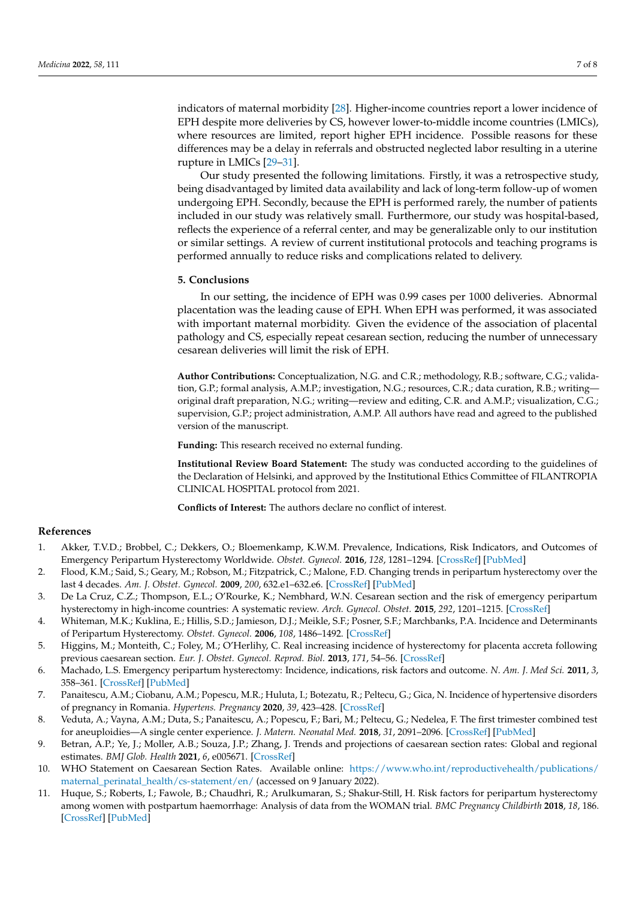indicators of maternal morbidity [\[28\]](#page-7-15). Higher-income countries report a lower incidence of EPH despite more deliveries by CS, however lower-to-middle income countries (LMICs), where resources are limited, report higher EPH incidence. Possible reasons for these differences may be a delay in referrals and obstructed neglected labor resulting in a uterine rupture in LMICs [\[29–](#page-7-16)[31\]](#page-7-17).

Our study presented the following limitations. Firstly, it was a retrospective study, being disadvantaged by limited data availability and lack of long-term follow-up of women undergoing EPH. Secondly, because the EPH is performed rarely, the number of patients included in our study was relatively small. Furthermore, our study was hospital-based, reflects the experience of a referral center, and may be generalizable only to our institution or similar settings. A review of current institutional protocols and teaching programs is performed annually to reduce risks and complications related to delivery.

### **5. Conclusions**

In our setting, the incidence of EPH was 0.99 cases per 1000 deliveries. Abnormal placentation was the leading cause of EPH. When EPH was performed, it was associated with important maternal morbidity. Given the evidence of the association of placental pathology and CS, especially repeat cesarean section, reducing the number of unnecessary cesarean deliveries will limit the risk of EPH.

**Author Contributions:** Conceptualization, N.G. and C.R.; methodology, R.B.; software, C.G.; validation, G.P.; formal analysis, A.M.P.; investigation, N.G.; resources, C.R.; data curation, R.B.; writing original draft preparation, N.G.; writing—review and editing, C.R. and A.M.P.; visualization, C.G.; supervision, G.P.; project administration, A.M.P. All authors have read and agreed to the published version of the manuscript.

**Funding:** This research received no external funding.

**Institutional Review Board Statement:** The study was conducted according to the guidelines of the Declaration of Helsinki, and approved by the Institutional Ethics Committee of FILANTROPIA CLINICAL HOSPITAL protocol from 2021.

**Conflicts of Interest:** The authors declare no conflict of interest.

## **References**

- <span id="page-6-0"></span>1. Akker, T.V.D.; Brobbel, C.; Dekkers, O.; Bloemenkamp, K.W.M. Prevalence, Indications, Risk Indicators, and Outcomes of Emergency Peripartum Hysterectomy Worldwide. *Obstet. Gynecol.* **2016**, *128*, 1281–1294. [\[CrossRef\]](http://doi.org/10.1097/AOG.0000000000001736) [\[PubMed\]](http://www.ncbi.nlm.nih.gov/pubmed/27824773)
- <span id="page-6-1"></span>2. Flood, K.M.; Said, S.; Geary, M.; Robson, M.; Fitzpatrick, C.; Malone, F.D. Changing trends in peripartum hysterectomy over the last 4 decades. *Am. J. Obstet. Gynecol.* **2009**, *200*, 632.e1–632.e6. [\[CrossRef\]](http://doi.org/10.1016/j.ajog.2009.02.001) [\[PubMed\]](http://www.ncbi.nlm.nih.gov/pubmed/19306969)
- <span id="page-6-2"></span>3. De La Cruz, C.Z.; Thompson, E.L.; O'Rourke, K.; Nembhard, W.N. Cesarean section and the risk of emergency peripartum hysterectomy in high-income countries: A systematic review. *Arch. Gynecol. Obstet.* **2015**, *292*, 1201–1215. [\[CrossRef\]](http://doi.org/10.1007/s00404-015-3790-2)
- <span id="page-6-3"></span>4. Whiteman, M.K.; Kuklina, E.; Hillis, S.D.; Jamieson, D.J.; Meikle, S.F.; Posner, S.F.; Marchbanks, P.A. Incidence and Determinants of Peripartum Hysterectomy. *Obstet. Gynecol.* **2006**, *108*, 1486–1492. [\[CrossRef\]](http://doi.org/10.1097/01.AOG.0000245445.36116.c6)
- <span id="page-6-4"></span>5. Higgins, M.; Monteith, C.; Foley, M.; O'Herlihy, C. Real increasing incidence of hysterectomy for placenta accreta following previous caesarean section. *Eur. J. Obstet. Gynecol. Reprod. Biol.* **2013**, *171*, 54–56. [\[CrossRef\]](http://doi.org/10.1016/j.ejogrb.2013.08.030)
- <span id="page-6-5"></span>6. Machado, L.S. Emergency peripartum hysterectomy: Incidence, indications, risk factors and outcome. *N. Am. J. Med Sci.* **2011**, *3*, 358–361. [\[CrossRef\]](http://doi.org/10.4297/najms.2011.358) [\[PubMed\]](http://www.ncbi.nlm.nih.gov/pubmed/22171242)
- <span id="page-6-6"></span>7. Panaitescu, A.M.; Ciobanu, A.M.; Popescu, M.R.; Huluta, I.; Botezatu, R.; Peltecu, G.; Gica, N. Incidence of hypertensive disorders of pregnancy in Romania. *Hypertens. Pregnancy* **2020**, *39*, 423–428. [\[CrossRef\]](http://doi.org/10.1080/10641955.2020.1801718)
- <span id="page-6-7"></span>8. Veduta, A.; Vayna, A.M.; Duta, S.; Panaitescu, A.; Popescu, F.; Bari, M.; Peltecu, G.; Nedelea, F. The first trimester combined test for aneuploidies—A single center experience. *J. Matern. Neonatal Med.* **2018**, *31*, 2091–2096. [\[CrossRef\]](http://doi.org/10.1080/14767058.2017.1336220) [\[PubMed\]](http://www.ncbi.nlm.nih.gov/pubmed/28553771)
- <span id="page-6-8"></span>9. Betran, A.P.; Ye, J.; Moller, A.B.; Souza, J.P.; Zhang, J. Trends and projections of caesarean section rates: Global and regional estimates. *BMJ Glob. Health* **2021**, *6*, e005671. [\[CrossRef\]](http://doi.org/10.1136/bmjgh-2021-005671)
- <span id="page-6-9"></span>10. WHO Statement on Caesarean Section Rates. Available online: [https://www.who.int/reproductivehealth/publications/](https://www.who.int/reproductivehealth/publications/maternal_perinatal_health/cs-statement/en/) [maternal\\_perinatal\\_health/cs-statement/en/](https://www.who.int/reproductivehealth/publications/maternal_perinatal_health/cs-statement/en/) (accessed on 9 January 2022).
- <span id="page-6-10"></span>11. Huque, S.; Roberts, I.; Fawole, B.; Chaudhri, R.; Arulkumaran, S.; Shakur-Still, H. Risk factors for peripartum hysterectomy among women with postpartum haemorrhage: Analysis of data from the WOMAN trial. *BMC Pregnancy Childbirth* **2018**, *18*, 186. [\[CrossRef\]](http://doi.org/10.1186/s12884-018-1829-7) [\[PubMed\]](http://www.ncbi.nlm.nih.gov/pubmed/29843627)